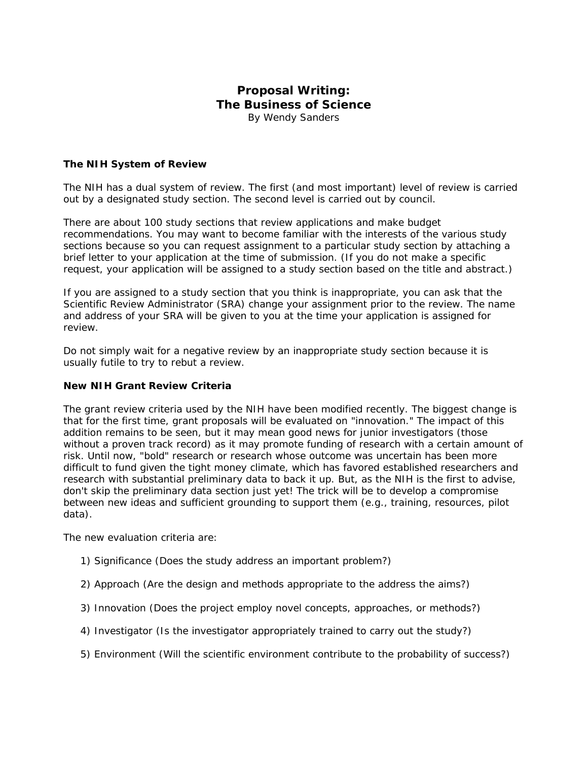# **Proposal Writing: The Business of Science**

*By Wendy Sanders*

## **The NIH System of Review**

The NIH has a dual system of review. The first (and most important) level of review is carried out by a designated study section. The second level is carried out by council.

There are about 100 study sections that review applications and make budget recommendations. You may want to become familiar with the interests of the various study sections because so you can request assignment to a particular study section by attaching a brief letter to your application at the time of submission. (If you do not make a specific request, your application will be assigned to a study section based on the title and abstract.)

If you are assigned to a study section that you think is inappropriate, you can ask that the Scientific Review Administrator (SRA) change your assignment prior to the review. The name and address of your SRA will be given to you at the time your application is assigned for review.

Do not simply wait for a negative review by an inappropriate study section because it is usually futile to try to rebut a review.

## **New NIH Grant Review Criteria**

The grant review criteria used by the NIH have been modified recently. The biggest change is that for the first time, grant proposals will be evaluated on "innovation." The impact of this addition remains to be seen, but it may mean good news for junior investigators (those without a proven track record) as it may promote funding of research with a certain amount of risk. Until now, "bold" research or research whose outcome was uncertain has been more difficult to fund given the tight money climate, which has favored established researchers and research with substantial preliminary data to back it up. But, as the NIH is the first to advise, don't skip the preliminary data section just yet! The trick will be to develop a compromise between new ideas and sufficient grounding to support them (e.g., training, resources, pilot data).

The new evaluation criteria are:

- 1) Significance (Does the study address an important problem?)
- 2) Approach (Are the design and methods appropriate to the address the aims?)
- 3) Innovation (Does the project employ novel concepts, approaches, or methods?)
- 4) Investigator (Is the investigator appropriately trained to carry out the study?)
- 5) Environment (Will the scientific environment contribute to the probability of success?)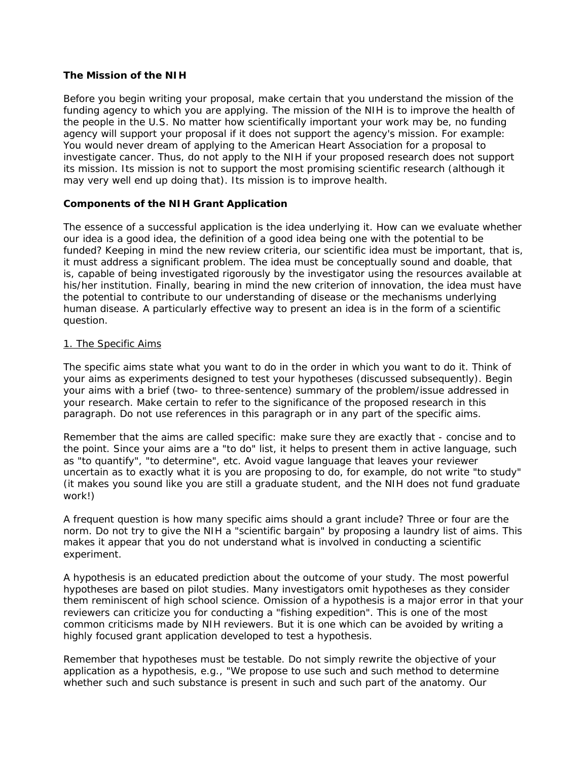### **The Mission of the NIH**

Before you begin writing your proposal, make certain that you understand the mission of the funding agency to which you are applying. The mission of the NIH is to improve the health of the people in the U.S. No matter how scientifically important your work may be, no funding agency will support your proposal if it does not support the agency's mission. For example: You would never dream of applying to the American Heart Association for a proposal to investigate cancer. Thus, do not apply to the NIH if your proposed research does not support its mission. Its mission is not to support the most promising scientific research (although it may very well end up doing that). Its mission is to improve health.

## **Components of the NIH Grant Application**

The essence of a successful application is the idea underlying it. How can we evaluate whether our idea is a good idea, the definition of a good idea being one with the potential to be funded? Keeping in mind the new review criteria, our scientific idea must be important, that is, it must address a significant problem. The idea must be conceptually sound and doable, that is, capable of being investigated rigorously by the investigator using the resources available at his/her institution. Finally, bearing in mind the new criterion of innovation, the idea must have the potential to contribute to our understanding of disease or the mechanisms underlying human disease. A particularly effective way to present an idea is in the form of a scientific question.

#### 1. The Specific Aims

The specific aims state what you want to do in the order in which you want to do it. Think of your aims as experiments designed to test your hypotheses (discussed subsequently). Begin your aims with a brief (two- to three-sentence) summary of the problem/issue addressed in your research. Make certain to refer to the significance of the proposed research in this paragraph. Do not use references in this paragraph or in any part of the specific aims.

Remember that the aims are called specific: make sure they are exactly that - concise and to the point. Since your aims are a "to do" list, it helps to present them in active language, such as "to quantify", "to determine", etc. Avoid vague language that leaves your reviewer uncertain as to exactly what it is you are proposing to do, for example, do not write "to study" (it makes you sound like you are still a graduate student, and the NIH does not fund graduate work!)

A frequent question is how many specific aims should a grant include? Three or four are the norm. Do not try to give the NIH a "scientific bargain" by proposing a laundry list of aims. This makes it appear that you do not understand what is involved in conducting a scientific experiment.

A hypothesis is an educated prediction about the outcome of your study. The most powerful hypotheses are based on pilot studies. Many investigators omit hypotheses as they consider them reminiscent of high school science. Omission of a hypothesis is a major error in that your reviewers can criticize you for conducting a "fishing expedition". This is one of the most common criticisms made by NIH reviewers. But it is one which can be avoided by writing a highly focused grant application developed to test a hypothesis.

Remember that hypotheses must be testable. Do not simply rewrite the objective of your application as a hypothesis, e.g., "We propose to use such and such method to determine whether such and such substance is present in such and such part of the anatomy. Our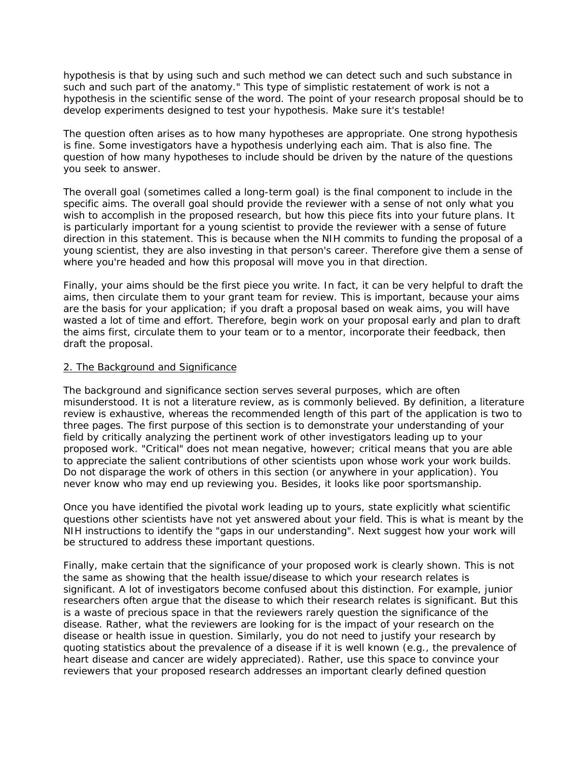hypothesis is that by using such and such method we can detect such and such substance in such and such part of the anatomy." This type of simplistic restatement of work is not a hypothesis in the scientific sense of the word. The point of your research proposal should be to develop experiments designed to test your hypothesis. Make sure it's testable!

The question often arises as to how many hypotheses are appropriate. One strong hypothesis is fine. Some investigators have a hypothesis underlying each aim. That is also fine. The question of how many hypotheses to include should be driven by the nature of the questions you seek to answer.

The overall goal (sometimes called a long-term goal) is the final component to include in the specific aims. The overall goal should provide the reviewer with a sense of not only what you wish to accomplish in the proposed research, but how this piece fits into your future plans. It is particularly important for a young scientist to provide the reviewer with a sense of future direction in this statement. This is because when the NIH commits to funding the proposal of a young scientist, they are also investing in that person's career. Therefore give them a sense of where you're headed and how this proposal will move you in that direction.

Finally, your aims should be the first piece you write. In fact, it can be very helpful to draft the aims, then circulate them to your grant team for review. This is important, because your aims are the basis for your application; if you draft a proposal based on weak aims, you will have wasted a lot of time and effort. Therefore, begin work on your proposal early and plan to draft the aims first, circulate them to your team or to a mentor, incorporate their feedback, then draft the proposal.

#### 2. The Background and Significance

The background and significance section serves several purposes, which are often misunderstood. It is not a literature review, as is commonly believed. By definition, a literature review is exhaustive, whereas the recommended length of this part of the application is two to three pages. The first purpose of this section is to demonstrate your understanding of your field by critically analyzing the pertinent work of other investigators leading up to your proposed work. "Critical" does not mean negative, however; critical means that you are able to appreciate the salient contributions of other scientists upon whose work your work builds. Do not disparage the work of others in this section (or anywhere in your application). You never know who may end up reviewing you. Besides, it looks like poor sportsmanship.

Once you have identified the pivotal work leading up to yours, state explicitly what scientific questions other scientists have not yet answered about your field. This is what is meant by the NIH instructions to identify the "gaps in our understanding". Next suggest how your work will be structured to address these important questions.

Finally, make certain that the significance of your proposed work is clearly shown. This is not the same as showing that the health issue/disease to which your research relates is significant. A lot of investigators become confused about this distinction. For example, junior researchers often argue that the disease to which their research relates is significant. But this is a waste of precious space in that the reviewers rarely question the significance of the disease. Rather, what the reviewers are looking for is the impact of your research on the disease or health issue in question. Similarly, you do not need to justify your research by quoting statistics about the prevalence of a disease if it is well known (e.g., the prevalence of heart disease and cancer are widely appreciated). Rather, use this space to convince your reviewers that your proposed research addresses an important clearly defined question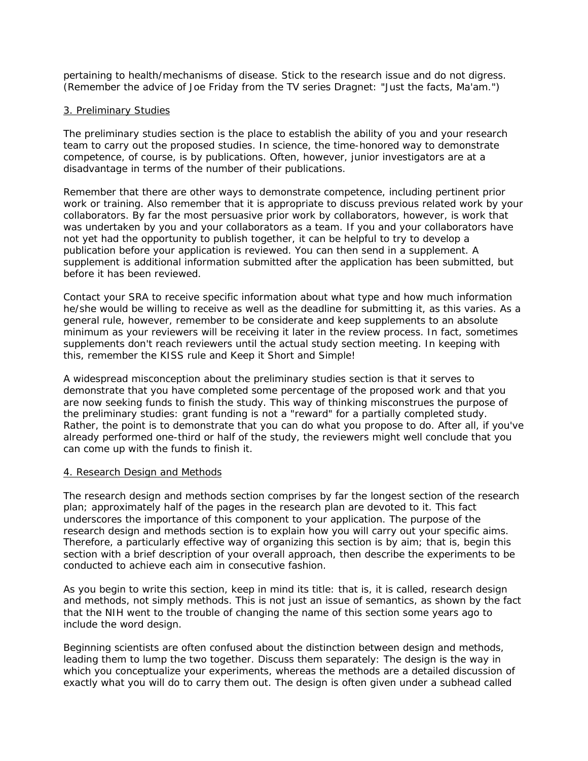pertaining to health/mechanisms of disease. Stick to the research issue and do not digress. (Remember the advice of Joe Friday from the TV series Dragnet: "Just the facts, Ma'am.")

### 3. Preliminary Studies

The preliminary studies section is the place to establish the ability of you and your research team to carry out the proposed studies. In science, the time-honored way to demonstrate competence, of course, is by publications. Often, however, junior investigators are at a disadvantage in terms of the number of their publications.

Remember that there are other ways to demonstrate competence, including pertinent prior work or training. Also remember that it is appropriate to discuss previous related work by your collaborators. By far the most persuasive prior work by collaborators, however, is work that was undertaken by you and your collaborators as a team. If you and your collaborators have not yet had the opportunity to publish together, it can be helpful to try to develop a publication before your application is reviewed. You can then send in a supplement. A supplement is additional information submitted after the application has been submitted, but before it has been reviewed.

Contact your SRA to receive specific information about what type and how much information he/she would be willing to receive as well as the deadline for submitting it, as this varies. As a general rule, however, remember to be considerate and keep supplements to an absolute minimum as your reviewers will be receiving it later in the review process. In fact, sometimes supplements don't reach reviewers until the actual study section meeting. In keeping with this, remember the KISS rule and Keep it Short and Simple!

A widespread misconception about the preliminary studies section is that it serves to demonstrate that you have completed some percentage of the proposed work and that you are now seeking funds to finish the study. This way of thinking misconstrues the purpose of the preliminary studies: grant funding is not a "reward" for a partially completed study. Rather, the point is to demonstrate that you can do what you propose to do. After all, if you've already performed one-third or half of the study, the reviewers might well conclude that you can come up with the funds to finish it.

#### 4. Research Design and Methods

The research design and methods section comprises by far the longest section of the research plan; approximately half of the pages in the research plan are devoted to it. This fact underscores the importance of this component to your application. The purpose of the research design and methods section is to explain how you will carry out your specific aims. Therefore, a particularly effective way of organizing this section is by aim; that is, begin this section with a brief description of your overall approach, then describe the experiments to be conducted to achieve each aim in consecutive fashion.

As you begin to write this section, keep in mind its title: that is, it is called, research design and methods, not simply methods. This is not just an issue of semantics, as shown by the fact that the NIH went to the trouble of changing the name of this section some years ago to include the word design.

Beginning scientists are often confused about the distinction between design and methods, leading them to lump the two together. Discuss them separately: The design is the way in which you conceptualize your experiments, whereas the methods are a detailed discussion of exactly what you will do to carry them out. The design is often given under a subhead called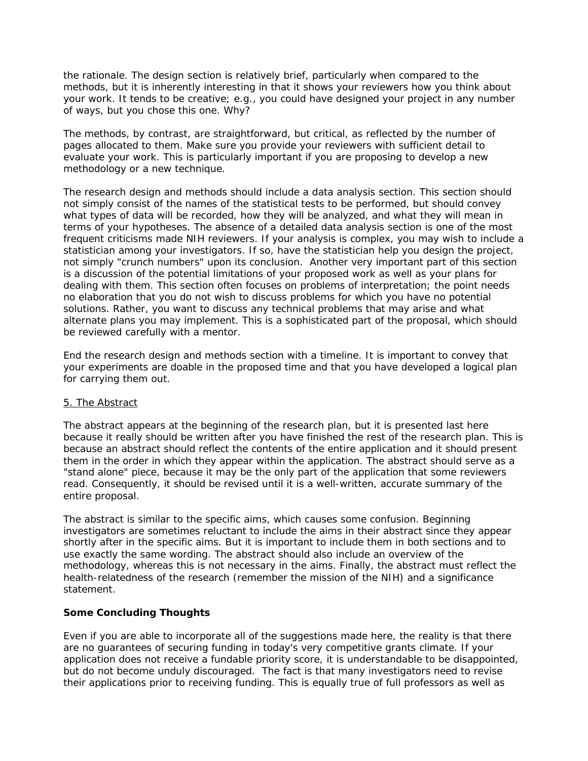the rationale. The design section is relatively brief, particularly when compared to the methods, but it is inherently interesting in that it shows your reviewers how you think about your work. It tends to be creative; e.g., you could have designed your project in any number of ways, but you chose this one. Why?

The methods, by contrast, are straightforward, but critical, as reflected by the number of pages allocated to them. Make sure you provide your reviewers with sufficient detail to evaluate your work. This is particularly important if you are proposing to develop a new methodology or a new technique.

The research design and methods should include a data analysis section. This section should not simply consist of the names of the statistical tests to be performed, but should convey what types of data will be recorded, how they will be analyzed, and what they will mean in terms of your hypotheses. The absence of a detailed data analysis section is one of the most frequent criticisms made NIH reviewers. If your analysis is complex, you may wish to include a statistician among your investigators. If so, have the statistician help you design the project, not simply "crunch numbers" upon its conclusion. Another very important part of this section is a discussion of the potential limitations of your proposed work as well as your plans for dealing with them. This section often focuses on problems of interpretation; the point needs no elaboration that you do not wish to discuss problems for which you have no potential solutions. Rather, you want to discuss any technical problems that may arise and what alternate plans you may implement. This is a sophisticated part of the proposal, which should be reviewed carefully with a mentor.

End the research design and methods section with a timeline. It is important to convey that your experiments are doable in the proposed time and that you have developed a logical plan for carrying them out.

## 5. The Abstract

The abstract appears at the beginning of the research plan, but it is presented last here because it really should be written after you have finished the rest of the research plan. This is because an abstract should reflect the contents of the entire application and it should present them in the order in which they appear within the application. The abstract should serve as a "stand alone" piece, because it may be the only part of the application that some reviewers read. Consequently, it should be revised until it is a well-written, accurate summary of the entire proposal.

The abstract is similar to the specific aims, which causes some confusion. Beginning investigators are sometimes reluctant to include the aims in their abstract since they appear shortly after in the specific aims. But it is important to include them in both sections and to use exactly the same wording. The abstract should also include an overview of the methodology, whereas this is not necessary in the aims. Finally, the abstract must reflect the health-relatedness of the research (remember the mission of the NIH) and a significance statement.

## **Some Concluding Thoughts**

Even if you are able to incorporate all of the suggestions made here, the reality is that there are no guarantees of securing funding in today's very competitive grants climate. If your application does not receive a fundable priority score, it is understandable to be disappointed, but do not become unduly discouraged. The fact is that many investigators need to revise their applications prior to receiving funding. This is equally true of full professors as well as